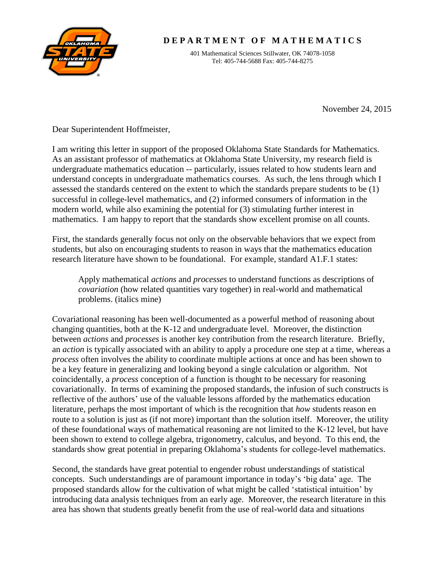

## **D E P A R T M E N T O F M A T H E M A T I C S**

401 Mathematical Sciences Stillwater, OK 74078-1058 Tel: 405-744-5688 Fax: 405-744-8275

November 24, 2015

Dear Superintendent Hoffmeister,

I am writing this letter in support of the proposed Oklahoma State Standards for Mathematics. As an assistant professor of mathematics at Oklahoma State University, my research field is undergraduate mathematics education -- particularly, issues related to how students learn and understand concepts in undergraduate mathematics courses. As such, the lens through which I assessed the standards centered on the extent to which the standards prepare students to be (1) successful in college-level mathematics, and (2) informed consumers of information in the modern world, while also examining the potential for (3) stimulating further interest in mathematics. I am happy to report that the standards show excellent promise on all counts.

First, the standards generally focus not only on the observable behaviors that we expect from students, but also on encouraging students to reason in ways that the mathematics education research literature have shown to be foundational. For example, standard A1.F.1 states:

Apply mathematical *actions* and *processes* to understand functions as descriptions of *covariation* (how related quantities vary together) in real-world and mathematical problems. (italics mine)

Covariational reasoning has been well-documented as a powerful method of reasoning about changing quantities, both at the K-12 and undergraduate level. Moreover, the distinction between *actions* and *processes* is another key contribution from the research literature. Briefly, an *action* is typically associated with an ability to apply a procedure one step at a time, whereas a *process* often involves the ability to coordinate multiple actions at once and has been shown to be a key feature in generalizing and looking beyond a single calculation or algorithm. Not coincidentally, a *process* conception of a function is thought to be necessary for reasoning covariationally. In terms of examining the proposed standards, the infusion of such constructs is reflective of the authors' use of the valuable lessons afforded by the mathematics education literature, perhaps the most important of which is the recognition that *how* students reason en route to a solution is just as (if not more) important than the solution itself. Moreover, the utility of these foundational ways of mathematical reasoning are not limited to the K-12 level, but have been shown to extend to college algebra, trigonometry, calculus, and beyond. To this end, the standards show great potential in preparing Oklahoma's students for college-level mathematics.

Second, the standards have great potential to engender robust understandings of statistical concepts. Such understandings are of paramount importance in today's 'big data' age. The proposed standards allow for the cultivation of what might be called 'statistical intuition' by introducing data analysis techniques from an early age. Moreover, the research literature in this area has shown that students greatly benefit from the use of real-world data and situations